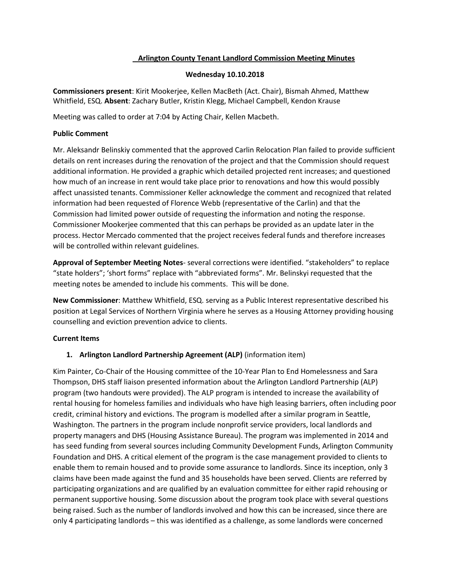# **Arlington County Tenant Landlord Commission Meeting Minutes**

## **Wednesday 10.10.2018**

**Commissioners present**: Kirit Mookerjee, Kellen MacBeth (Act. Chair), Bismah Ahmed, Matthew Whitfield, ESQ. **Absent**: Zachary Butler, Kristin Klegg, Michael Campbell, Kendon Krause

Meeting was called to order at 7:04 by Acting Chair, Kellen Macbeth.

## **Public Comment**

Mr. Aleksandr Belinskiy commented that the approved Carlin Relocation Plan failed to provide sufficient details on rent increases during the renovation of the project and that the Commission should request additional information. He provided a graphic which detailed projected rent increases; and questioned how much of an increase in rent would take place prior to renovations and how this would possibly affect unassisted tenants. Commissioner Keller acknowledge the comment and recognized that related information had been requested of Florence Webb (representative of the Carlin) and that the Commission had limited power outside of requesting the information and noting the response. Commissioner Mookerjee commented that this can perhaps be provided as an update later in the process. Hector Mercado commented that the project receives federal funds and therefore increases will be controlled within relevant guidelines.

**Approval of September Meeting Notes**- several corrections were identified. "stakeholders" to replace "state holders"; 'short forms" replace with "abbreviated forms". Mr. Belinskyi requested that the meeting notes be amended to include his comments. This will be done.

**New Commissioner**: Matthew Whitfield, ESQ. serving as a Public Interest representative described his position at Legal Services of Northern Virginia where he serves as a Housing Attorney providing housing counselling and eviction prevention advice to clients.

#### **Current Items**

# **1. Arlington Landlord Partnership Agreement (ALP)** (information item)

Kim Painter, Co-Chair of the Housing committee of the 10-Year Plan to End Homelessness and Sara Thompson, DHS staff liaison presented information about the Arlington Landlord Partnership (ALP) program (two handouts were provided). The ALP program is intended to increase the availability of rental housing for homeless families and individuals who have high leasing barriers, often including poor credit, criminal history and evictions. The program is modelled after a similar program in Seattle, Washington. The partners in the program include nonprofit service providers, local landlords and property managers and DHS (Housing Assistance Bureau). The program was implemented in 2014 and has seed funding from several sources including Community Development Funds, Arlington Community Foundation and DHS. A critical element of the program is the case management provided to clients to enable them to remain housed and to provide some assurance to landlords. Since its inception, only 3 claims have been made against the fund and 35 households have been served. Clients are referred by participating organizations and are qualified by an evaluation committee for either rapid rehousing or permanent supportive housing. Some discussion about the program took place with several questions being raised. Such as the number of landlords involved and how this can be increased, since there are only 4 participating landlords – this was identified as a challenge, as some landlords were concerned